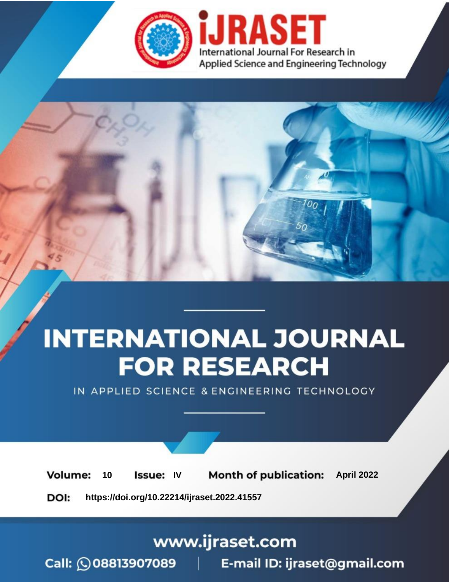

# **INTERNATIONAL JOURNAL FOR RESEARCH**

IN APPLIED SCIENCE & ENGINEERING TECHNOLOGY

10 **Issue: IV Month of publication:** April 2022 **Volume:** 

**https://doi.org/10.22214/ijraset.2022.41557**DOI:

www.ijraset.com

Call: 008813907089 | E-mail ID: ijraset@gmail.com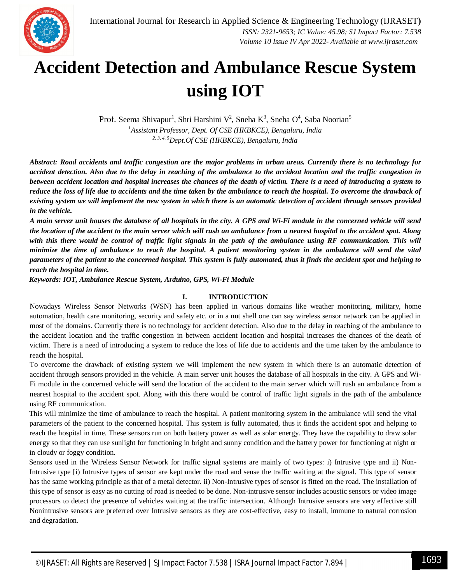

## **Accident Detection and Ambulance Rescue System using IOT**

Prof. Seema Shivapur<sup>1</sup>, Shri Harshini V<sup>2</sup>, Sneha K<sup>3</sup>, Sneha O<sup>4</sup>, Saba Noorian<sup>5</sup> *<sup>1</sup>Assistant Professor, Dept. Of CSE (HKBKCE), Bengaluru, India 2, 3, 4, 5Dept.Of CSE (HKBKCE), Bengaluru, India*

*Abstract: Road accidents and traffic congestion are the major problems in urban areas. Currently there is no technology for accident detection. Also due to the delay in reaching of the ambulance to the accident location and the traffic congestion in between accident location and hospital increases the chances of the death of victim. There is a need of introducing a system to reduce the loss of life due to accidents and the time taken by the ambulance to reach the hospital. To overcome the drawback of existing system we will implement the new system in which there is an automatic detection of accident through sensors provided in the vehicle.* 

*A main server unit houses the database of all hospitals in the city. A GPS and Wi-Fi module in the concerned vehicle will send the location of the accident to the main server which will rush an ambulance from a nearest hospital to the accident spot. Along*  with this there would be control of traffic light signals in the path of the ambulance using RF communication. This will *minimize the time of ambulance to reach the hospital. A patient monitoring system in the ambulance will send the vital parameters of the patient to the concerned hospital. This system is fully automated, thus it finds the accident spot and helping to reach the hospital in time.* 

*Keywords: IOT, Ambulance Rescue System, Arduino, GPS, Wi-Fi Module* 

## **I. INTRODUCTION**

Nowadays Wireless Sensor Networks (WSN) has been applied in various domains like weather monitoring, military, home automation, health care monitoring, security and safety etc. or in a nut shell one can say wireless sensor network can be applied in most of the domains. Currently there is no technology for accident detection. Also due to the delay in reaching of the ambulance to the accident location and the traffic congestion in between accident location and hospital increases the chances of the death of victim. There is a need of introducing a system to reduce the loss of life due to accidents and the time taken by the ambulance to reach the hospital.

To overcome the drawback of existing system we will implement the new system in which there is an automatic detection of accident through sensors provided in the vehicle. A main server unit houses the database of all hospitals in the city. A GPS and Wi-Fi module in the concerned vehicle will send the location of the accident to the main server which will rush an ambulance from a nearest hospital to the accident spot. Along with this there would be control of traffic light signals in the path of the ambulance using RF communication.

This will minimize the time of ambulance to reach the hospital. A patient monitoring system in the ambulance will send the vital parameters of the patient to the concerned hospital. This system is fully automated, thus it finds the accident spot and helping to reach the hospital in time. These sensors run on both battery power as well as solar energy. They have the capability to draw solar energy so that they can use sunlight for functioning in bright and sunny condition and the battery power for functioning at night or in cloudy or foggy condition.

Sensors used in the Wireless Sensor Network for traffic signal systems are mainly of two types: i) Intrusive type and ii) Non-Intrusive type [i) Intrusive types of sensor are kept under the road and sense the traffic waiting at the signal. This type of sensor has the same working principle as that of a metal detector. ii) Non-Intrusive types of sensor is fitted on the road. The installation of this type of sensor is easy as no cutting of road is needed to be done. Non-intrusive sensor includes acoustic sensors or video image processors to detect the presence of vehicles waiting at the traffic intersection. Although Intrusive sensors are very effective still Nonintrusive sensors are preferred over Intrusive sensors as they are cost-effective, easy to install, immune to natural corrosion and degradation.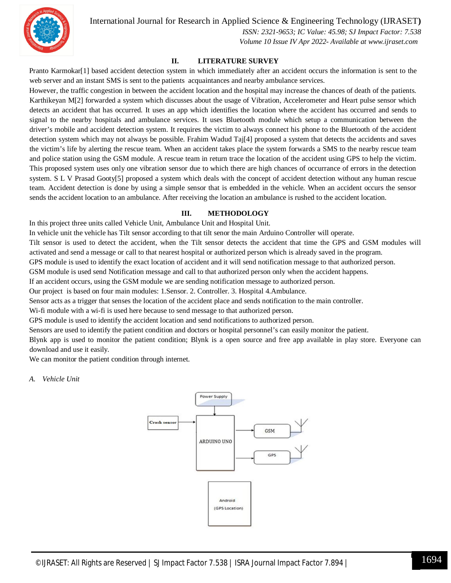

International Journal for Research in Applied Science & Engineering Technology (IJRASET**)**

 *ISSN: 2321-9653; IC Value: 45.98; SJ Impact Factor: 7.538 Volume 10 Issue IV Apr 2022- Available at www.ijraset.com*

## **II. LITERATURE SURVEY**

Pranto Karmokar[1] based accident detection system in which immediately after an accident occurs the information is sent to the web server and an instant SMS is sent to the patients acquaintances and nearby ambulance services.

However, the traffic congestion in between the accident location and the hospital may increase the chances of death of the patients. Karthikeyan M[2] forwarded a system which discusses about the usage of Vibration, Accelerometer and Heart pulse sensor which detects an accident that has occurred. It uses an app which identifies the location where the accident has occurred and sends to signal to the nearby hospitals and ambulance services. It uses Bluetooth module which setup a communication between the driver's mobile and accident detection system. It requires the victim to always connect his phone to the Bluetooth of the accident detection system which may not always be possible. Frahim Wadud Taj[4] proposed a system that detects the accidents and saves the victim's life by alerting the rescue team. When an accident takes place the system forwards a SMS to the nearby rescue team and police station using the GSM module. A rescue team in return trace the location of the accident using GPS to help the victim. This proposed system uses only one vibration sensor due to which there are high chances of occurrance of errors in the detection system. S L V Prasad Gooty[5] proposed a system which deals with the concept of accident detection without any human rescue team. Accident detection is done by using a simple sensor that is embedded in the vehicle. When an accident occurs the sensor sends the accident location to an ambulance. After receiving the location an ambulance is rushed to the accident location.

## **III. METHODOLOGY**

In this project three units called Vehicle Unit, Ambulance Unit and Hospital Unit.

In vehicle unit the vehicle has Tilt sensor according to that tilt senor the main Arduino Controller will operate.

Tilt sensor is used to detect the accident, when the Tilt sensor detects the accident that time the GPS and GSM modules will activated and send a message or call to that nearest hospital or authorized person which is already saved in the program.

GPS module is used to identify the exact location of accident and it will send notification message to that authorized person.

GSM module is used send Notification message and call to that authorized person only when the accident happens.

If an accident occurs, using the GSM module we are sending notification message to authorized person.

Our project is based on four main modules: 1.Sensor. 2. Controller. 3. Hospital 4.Ambulance.

Sensor acts as a trigger that senses the location of the accident place and sends notification to the main controller.

Wi-fi module with a wi-fi is used here because to send message to that authorized person.

GPS module is used to identify the accident location and send notifications to authorized person.

Sensors are used to identify the patient condition and doctors or hospital personnel's can easily monitor the patient.

Blynk app is used to monitor the patient condition; Blynk is a open source and free app available in play store. Everyone can download and use it easily.

We can monitor the patient condition through internet.

### *A. Vehicle Unit*

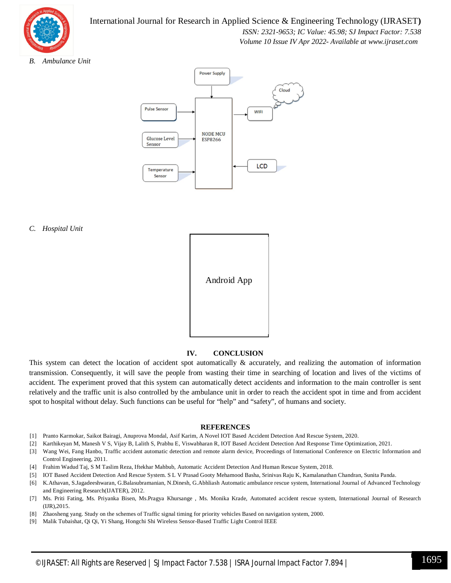

## International Journal for Research in Applied Science & Engineering Technology (IJRASET**)**

 *ISSN: 2321-9653; IC Value: 45.98; SJ Impact Factor: 7.538*

 *Volume 10 Issue IV Apr 2022- Available at www.ijraset.com*

*B. Ambulance Unit*



### *C. Hospital Unit*



## **IV. CONCLUSION**

This system can detect the location of accident spot automatically & accurately, and realizing the automation of information transmission. Consequently, it will save the people from wasting their time in searching of location and lives of the victims of accident. The experiment proved that this system can automatically detect accidents and information to the main controller is sent relatively and the traffic unit is also controlled by the ambulance unit in order to reach the accident spot in time and from accident spot to hospital without delay. Such functions can be useful for "help" and "safety", of humans and society.

### **REFERENCES**

- [1] Pranto Karmokar, Saikot Bairagi, Anuprova Mondal, Asif Karim, A Novel IOT Based Accident Detection And Rescue System, 2020.
- [2] Karthikeyan M, Manesh V S, Vijay B, Lalith S, Prabhu E, Viswabharan R, IOT Based Accident Detection And Response Time Optimization, 2021.
- [3] Wang Wei, Fang Hanbo, Traffic accident automatic detection and remote alarm device, Proceedings of International Conference on Electric Information and Control Engineering, 2011.
- [4] Frahim Wadud Taj, S M Taslim Reza, Iftekhar Mahbub, Automatic Accident Detection And Human Rescue System, 2018.
- [5] IOT Based Accident Detection And Rescue System. S L V Prasad Gooty Mehamood Basha, Srinivas Raju K, Kamalanathan Chandran, Sunita Panda.
- [6] K.Athavan, S.Jagadeeshwaran, G.Balasubramanian, N.Dinesh, G.Abhliash Automatic ambulance rescue system, International Journal of Advanced Technology and Engineering Research(IJATER), 2012.
- [7] Ms. Priti Fating, Ms. Priyanka Bisen, Ms.Pragya Khursange , Ms. Monika Krade, Automated accident rescue system, International Journal of Research (IJR),2015.
- [8] Zhaosheng yang. Study on the schemes of Traffic signal timing for priority vehicles Based on navigation system, 2000.
- [9] Malik Tubaishat, Qi Qi, Yi Shang, Hongchi Shi Wireless Sensor-Based Traffic Light Control IEEE